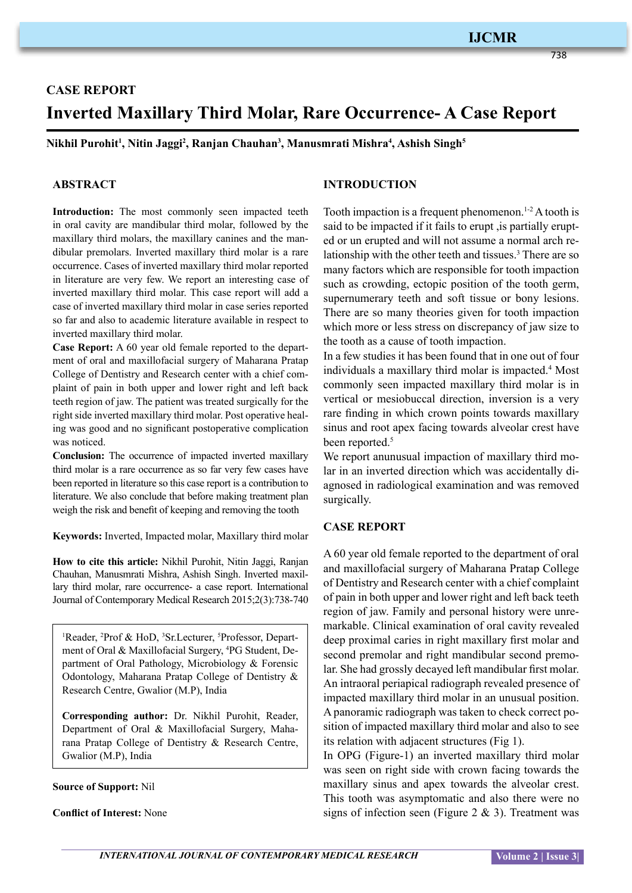## **IJCMR**

738

# **CASE REPORT Inverted Maxillary Third Molar, Rare Occurrence- A Case Report**

**Nikhil Purohit1 , Nitin Jaggi2 , Ranjan Chauhan3 , Manusmrati Mishra4 , Ashish Singh5**

#### **ABSTRACT**

**Introduction:** The most commonly seen impacted teeth in oral cavity are mandibular third molar, followed by the maxillary third molars, the maxillary canines and the mandibular premolars. Inverted maxillary third molar is a rare occurrence. Cases of inverted maxillary third molar reported in literature are very few. We report an interesting case of inverted maxillary third molar. This case report will add a case of inverted maxillary third molar in case series reported so far and also to academic literature available in respect to inverted maxillary third molar.

**Case Report:** A 60 year old female reported to the department of oral and maxillofacial surgery of Maharana Pratap College of Dentistry and Research center with a chief complaint of pain in both upper and lower right and left back teeth region of jaw. The patient was treated surgically for the right side inverted maxillary third molar. Post operative healing was good and no significant postoperative complication was noticed.

**Conclusion:** The occurrence of impacted inverted maxillary third molar is a rare occurrence as so far very few cases have been reported in literature so this case report is a contribution to literature. We also conclude that before making treatment plan weigh the risk and benefit of keeping and removing the tooth

**Keywords:** Inverted, Impacted molar, Maxillary third molar

**How to cite this article:** Nikhil Purohit, Nitin Jaggi, Ranjan Chauhan, Manusmrati Mishra, Ashish Singh. Inverted maxillary third molar, rare occurrence- a case report. International Journal of Contemporary Medical Research 2015;2(3):738-740

<sup>1</sup>Reader, <sup>2</sup>Prof & HoD, <sup>3</sup>Sr.Lecturer, <sup>5</sup>Professor, Department of Oral & Maxillofacial Surgery, <sup>4</sup>PG Student, Department of Oral Pathology, Microbiology & Forensic Odontology, Maharana Pratap College of Dentistry & Research Centre, Gwalior (M.P), India

**Corresponding author:** Dr. Nikhil Purohit, Reader, Department of Oral & Maxillofacial Surgery, Maharana Pratap College of Dentistry & Research Centre, Gwalior (M.P), India

#### **Source of Support:** Nil

**Conflict of Interest:** None

#### **INTRODUCTION**

Tooth impaction is a frequent phenomenon.<sup>1-2</sup> A tooth is said to be impacted if it fails to erupt ,is partially erupted or un erupted and will not assume a normal arch relationship with the other teeth and tissues.<sup>3</sup> There are so many factors which are responsible for tooth impaction such as crowding, ectopic position of the tooth germ, supernumerary teeth and soft tissue or bony lesions. There are so many theories given for tooth impaction which more or less stress on discrepancy of jaw size to the tooth as a cause of tooth impaction.

In a few studies it has been found that in one out of four individuals a maxillary third molar is impacted.<sup>4</sup> Most commonly seen impacted maxillary third molar is in vertical or mesiobuccal direction, inversion is a very rare finding in which crown points towards maxillary sinus and root apex facing towards alveolar crest have been reported.<sup>5</sup>

We report anunusual impaction of maxillary third molar in an inverted direction which was accidentally diagnosed in radiological examination and was removed surgically.

#### **CASE REPORT**

A 60 year old female reported to the department of oral and maxillofacial surgery of Maharana Pratap College of Dentistry and Research center with a chief complaint of pain in both upper and lower right and left back teeth region of jaw. Family and personal history were unremarkable. Clinical examination of oral cavity revealed deep proximal caries in right maxillary first molar and second premolar and right mandibular second premolar. She had grossly decayed left mandibular first molar. An intraoral periapical radiograph revealed presence of impacted maxillary third molar in an unusual position. A panoramic radiograph was taken to check correct position of impacted maxillary third molar and also to see its relation with adjacent structures (Fig 1).

In OPG (Figure-1) an inverted maxillary third molar was seen on right side with crown facing towards the maxillary sinus and apex towards the alveolar crest. This tooth was asymptomatic and also there were no signs of infection seen (Figure  $2 \& 3$ ). Treatment was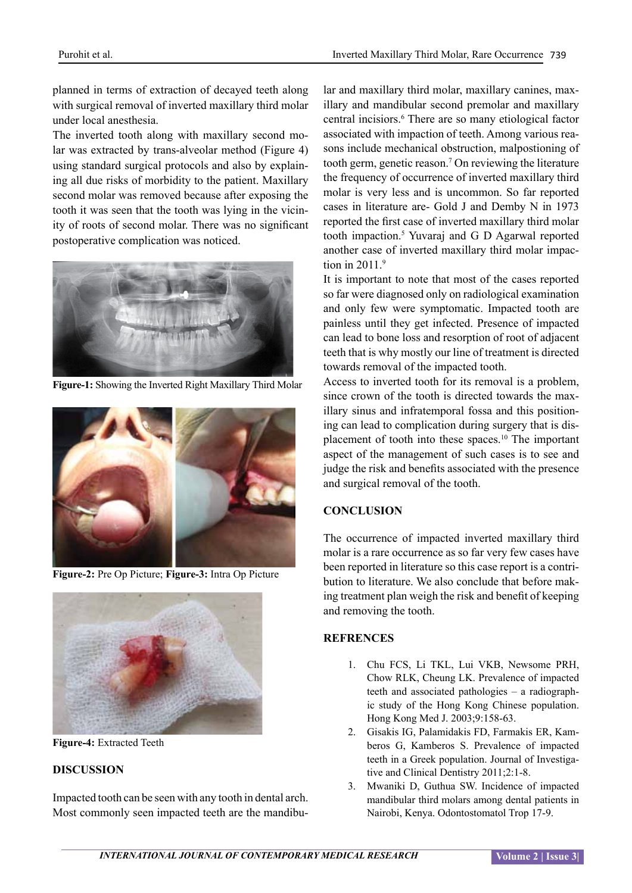planned in terms of extraction of decayed teeth along with surgical removal of inverted maxillary third molar under local anesthesia.

The inverted tooth along with maxillary second molar was extracted by trans-alveolar method (Figure 4) using standard surgical protocols and also by explaining all due risks of morbidity to the patient. Maxillary second molar was removed because after exposing the tooth it was seen that the tooth was lying in the vicinity of roots of second molar. There was no significant postoperative complication was noticed.



**Figure-1:** Showing the Inverted Right Maxillary Third Molar



**Figure-2:** Pre Op Picture; **Figure-3:** Intra Op Picture



**Figure-4:** Extracted Teeth

#### **DISCUSSION**

Impacted tooth can be seen with any tooth in dental arch. Most commonly seen impacted teeth are the mandibu-

lar and maxillary third molar, maxillary canines, maxillary and mandibular second premolar and maxillary central incisiors.<sup>6</sup> There are so many etiological factor associated with impaction of teeth. Among various reasons include mechanical obstruction, malpostioning of tooth germ, genetic reason.7 On reviewing the literature the frequency of occurrence of inverted maxillary third molar is very less and is uncommon. So far reported cases in literature are- Gold J and Demby N in 1973 reported the first case of inverted maxillary third molar tooth impaction.5 Yuvaraj and G D Agarwal reported another case of inverted maxillary third molar impaction in  $2011<sup>9</sup>$ 

It is important to note that most of the cases reported so far were diagnosed only on radiological examination and only few were symptomatic. Impacted tooth are painless until they get infected. Presence of impacted can lead to bone loss and resorption of root of adjacent teeth that is why mostly our line of treatment is directed towards removal of the impacted tooth.

Access to inverted tooth for its removal is a problem, since crown of the tooth is directed towards the maxillary sinus and infratemporal fossa and this positioning can lead to complication during surgery that is displacement of tooth into these spaces.10 The important aspect of the management of such cases is to see and judge the risk and benefits associated with the presence and surgical removal of the tooth.

### **CONCLUSION**

The occurrence of impacted inverted maxillary third molar is a rare occurrence as so far very few cases have been reported in literature so this case report is a contribution to literature. We also conclude that before making treatment plan weigh the risk and benefit of keeping and removing the tooth.

#### **REFRENCES**

- 1. Chu FCS, Li TKL, Lui VKB, Newsome PRH, Chow RLK, Cheung LK. Prevalence of impacted teeth and associated pathologies – a radiographic study of the Hong Kong Chinese population. Hong Kong Med J. 2003;9:158-63.
- 2. Gisakis IG, Palamidakis FD, Farmakis ER, Kamberos G, Kamberos S. Prevalence of impacted teeth in a Greek population. Journal of Investigative and Clinical Dentistry 2011;2:1-8.
- 3. Mwaniki D, Guthua SW. Incidence of impacted mandibular third molars among dental patients in Nairobi, Kenya. Odontostomatol Trop 17-9.